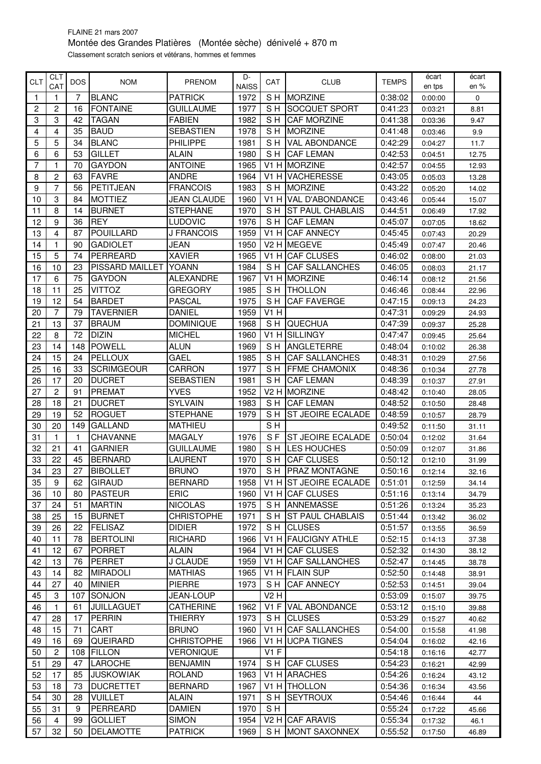## FLAINE 21 mars 2007 Montée des Grandes Platières (Montée sèche) dénivelé + 870 m Classement scratch seniors et vétérans, hommes et femmes

| <b>CLT</b>     | CLT            | <b>DOS</b> | <b>NOM</b>        | PRENOM             | D-           | CAT    | <b>CLUB</b>                 | <b>TEMPS</b> | écart              | écart          |
|----------------|----------------|------------|-------------------|--------------------|--------------|--------|-----------------------------|--------------|--------------------|----------------|
|                | CAT            |            |                   |                    | <b>NAISS</b> |        |                             |              | en tps             | en %           |
| 1              | 1              | 7          | <b>BLANC</b>      | <b>PATRICK</b>     | 1972         | SH     | <b>MORZINE</b>              | 0:38:02      | 0:00:00            | 0              |
| $\overline{2}$ | $\overline{2}$ | 16         | <b>FONTAINE</b>   | <b>GUILLAUME</b>   | 1977         | SH     | <b>SOCQUET SPORT</b>        | 0:41:23      | 0:03:21            | 8.81           |
| 3              | 3              | 42         | <b>TAGAN</b>      | <b>FABIEN</b>      | 1982         | S H    | <b>CAF MORZINE</b>          | 0:41:38      | 0:03:36            | 9.47           |
| 4              | 4              | 35         | <b>BAUD</b>       | <b>SEBASTIEN</b>   | 1978         | S H    | <b>MORZINE</b>              | 0:41:48      | 0:03:46            | 9.9            |
| 5              | 5              | 34         | <b>BLANC</b>      | PHILIPPE           | 1981         | S H    | <b>VAL ABONDANCE</b>        | 0:42:29      | 0:04:27            | 11.7           |
| 6              | 6              | 53         | <b>GILLET</b>     | <b>ALAIN</b>       | 1980         | SH     | <b>CAF LEMAN</b>            | 0:42:53      | 0:04:51            | 12.75          |
| 7              | 1              | 70         | <b>GAYDON</b>     | <b>ANTOINE</b>     | 1965         | V1 H   | <b>MORZINE</b>              | 0:42:57      | 0:04:55            | 12.93          |
| 8              | $\overline{2}$ | 63         | <b>FAVRE</b>      | <b>ANDRE</b>       | 1964         |        | V1 H VACHERESSE             | 0:43:05      | 0:05:03            | 13.28          |
| 9              | $\overline{7}$ | 56         | PETITJEAN         | <b>FRANCOIS</b>    | 1983         | S H    | <b>MORZINE</b>              | 0:43:22      | 0:05:20            | 14.02          |
| 10             | 3              | 84         | <b>MOTTIEZ</b>    | <b>JEAN CLAUDE</b> | 1960         |        | V1 H VAL D'ABONDANCE        | 0:43:46      | 0:05:44            | 15.07          |
| 11             | 8              | 14         | <b>BURNET</b>     | <b>STEPHANE</b>    | 1970         | S H    | <b>ST PAUL CHABLAIS</b>     | 0:44:51      | 0:06:49            | 17.92          |
| 12             | 9              | 36         | <b>REY</b>        | LUDOVIC            | 1976         | S H    | <b>CAF LEMAN</b>            | 0:45:07      | 0:07:05            | 18.62          |
| 13             | 4              | 87         | <b>POUILLARD</b>  | J FRANCOIS         | 1959         |        | V1 H ICAF ANNECY            | 0:45:45      | 0:07:43            | 20.29          |
| 14             | 1              | 90         | <b>GADIOLET</b>   | JEAN               | 1950         | V2 H   | <b>IMEGEVE</b>              | 0:45:49      | 0:07:47            | 20.46          |
| 15             | 5              | 74         | PERREARD          | <b>XAVIER</b>      | 1965         |        | V1 H CAF CLUSES             | 0:46:02      | 0:08:00            | 21.03          |
| 16             | 10             | 23         | PISSARD MAILLET   | YOANN              | 1984         | S H    | <b>CAF SALLANCHES</b>       | 0:46:05      | 0:08:03            | 21.17          |
| 17             | 6              | 75         | <b>GAYDON</b>     | <b>ALEXANDRE</b>   | 1967         | $V1$ H | <b>MORZINE</b>              | 0:46:14      | 0:08:12            | 21.56          |
| 18             | 11             | 25         | <b>VITTOZ</b>     | <b>GREGORY</b>     | 1985         | SH     | <b>THOLLON</b>              | 0:46:46      | 0:08:44            | 22.96          |
| 19             | 12             | 54         | <b>BARDET</b>     | <b>PASCAL</b>      | 1975         | SH     | <b>CAF FAVERGE</b>          | 0:47:15      | 0.09.13            | 24.23          |
| 20             | $\overline{7}$ | 79         | <b>TAVERNIER</b>  | DANIEL             | 1959         | V1 H   |                             | 0:47:31      | 0:09:29            | 24.93          |
| 21             | 13             | 37         | <b>BRAUM</b>      | <b>DOMINIQUE</b>   | 1968         | SH     | <b>QUECHUA</b>              | 0:47:39      | 0:09:37            | 25.28          |
| 22             | 8              | 72         | <b>DIZIN</b>      | <b>MICHEL</b>      | 1960         |        | V1 H SILLINGY               | 0:47:47      | 0:09:45            | 25.64          |
| 23             | 14             | 148        | POWELL            | <b>ALUN</b>        | 1969         | SH     | <b>ANGLETERRE</b>           | 0:48:04      | 0:10:02            | 26.38          |
| 24             | 15             | 24         | <b>PELLOUX</b>    | GAEL               | 1985         | SH     | <b>CAF SALLANCHES</b>       | 0:48:31      | 0:10:29            | 27.56          |
| 25             | 16             | 33         | <b>SCRIMGEOUR</b> | CARRON             | 1977         | S H    | <b>FFME CHAMONIX</b>        | 0:48:36      | 0:10:34            | 27.78          |
| 26             | 17             | 20         | <b>DUCRET</b>     | <b>SEBASTIEN</b>   | 1981         | S H    | <b>CAF LEMAN</b>            | 0:48:39      | 0:10:37            | 27.91          |
| 27             | $\overline{2}$ | 91         | <b>PREMAT</b>     | <b>YVES</b>        | 1952         | V2 H   | <b>IMORZINE</b>             | 0:48:42      | 0:10:40            | 28.05          |
| 28             | 18             | 21         | <b>DUCRET</b>     | <b>SYLVAIN</b>     | 1983         | S H    | <b>CAF LEMAN</b>            | 0:48:52      | 0:10:50            | 28.48          |
| 29             | 19             | 52         | <b>ROGUET</b>     | <b>STEPHANE</b>    | 1979         | S H    | <b>ST JEOIRE ECALADE</b>    | 0:48:59      | 0:10:57            | 28.79          |
| 30             | 20             | 149        | <b>GALLAND</b>    | <b>MATHIEU</b>     |              | SH     |                             | 0:49:52      | 0:11:50            | 31.11          |
| 31             | 1              | 1          | <b>CHAVANNE</b>   | <b>MAGALY</b>      | 1976         | S F    | <b>ST JEOIRE ECALADE</b>    | 0:50:04      | 0:12:02            | 31.64          |
| 32             | 21             | 41         | <b>GARNIER</b>    | <b>GUILLAUME</b>   | 1980         | S H    | <b>LES HOUCHES</b>          | 0:50:09      | 0:12:07            | 31.86          |
| 33             | 22             | 45         | <b>BERNARD</b>    | LAURENT            | 1970         | SH     | <b>CAF CLUSES</b>           | 0:50:12      | 0:12:10            | 31.99          |
| 34             | 23             | 27         | <b>BIBOLLET</b>   | <b>BRUNO</b>       | 1970         | S H    | <b>IPRAZ MONTAGNE</b>       | 0:50:16      | 0:12:14            | 32.16          |
| 35             | 9              | 62         | <b>GIRAUD</b>     | <b>BERNARD</b>     | 1958         |        | V1 H ST JEOIRE ECALADE      | 0:51:01      | 0:12:59            | 34.14          |
| 36             | 10             | 80         | <b>PASTEUR</b>    | <b>ERIC</b>        | 1960         |        | V <sub>1</sub> H CAF CLUSES | 0:51:16      | 0:13:14            | 34.79          |
| 37             | 24             | 51         | <b>MARTIN</b>     | <b>NICOLAS</b>     | 1975         | S H    | ANNEMASSE                   | 0:51:26      | 0:13:24            | 35.23          |
| 38             | 25             | 15         | <b>BURNET</b>     | <b>CHRISTOPHE</b>  | 1971         | S H    | <b>ST PAUL CHABLAIS</b>     | 0:51:44      | 0:13:42            | 36.02          |
| 39             | 26             | 22         | <b>FELISAZ</b>    | <b>DIDIER</b>      | 1972         | S H    | <b>CLUSES</b>               | 0:51:57      | 0:13:55            | 36.59          |
| 40             | 11             | 78         | <b>BERTOLINI</b>  | RICHARD            | 1966         |        | V1 H FAUCIGNY ATHLE         | 0:52:15      | 0:14:13            | 37.38          |
| 41             | 12             | 67         | <b>PORRET</b>     | <b>ALAIN</b>       | 1964         |        | V1 H CAF CLUSES             | 0:52:32      | 0:14:30            | 38.12          |
| 42             | 13             | 76         | <b>PERRET</b>     | J CLAUDE           | 1959         |        | V1 H CAF SALLANCHES         | 0:52:47      | 0:14:45            | 38.78          |
| 43             | 14             | 82         | <b>MIRADOLI</b>   | <b>MATHIAS</b>     | 1965         |        | V1 H FLAIN SUP              | 0:52:50      | 0:14:48            | 38.91          |
| 44             | 27             | 40         | <b>MINIER</b>     | <b>PIERRE</b>      | 1973         | S H    | <b>CAF ANNECY</b>           | 0:52:53      | 0:14:51            | 39.04          |
| 45             | 3              | 107        | SONJON            | <b>JEAN-LOUP</b>   |              | V2H    |                             | 0:53:09      | 0:15:07            | 39.75          |
| 46             | 1.             | 61         | <b>JUILLAGUET</b> | <b>CATHERINE</b>   | 1962         |        | V1 F VAL ABONDANCE          | 0:53:12      | 0:15:10            | 39.88          |
| 47             | 28             | 17         | <b>PERRIN</b>     | <b>THIERRY</b>     | 1973         | S H    | <b>CLUSES</b>               | 0:53:29      | 0:15:27            | 40.62          |
| 48             | 15             | 71         | CART              | <b>BRUNO</b>       | 1960         |        | V1 H CAF SALLANCHES         | 0:54:00      | 0:15:58            | 41.98          |
| 49             | 16             | 69         | QUEIRARD          | <b>CHRISTOPHE</b>  | 1966         |        | V1 H UCPA TIGNES            | 0:54:04      |                    |                |
| 50             | $\overline{2}$ | 108        | <b>FILLON</b>     | VERONIQUE          |              | $V1$ F |                             | 0:54:18      | 0:16:02<br>0:16:16 | 42.16<br>42.77 |
| 51             | 29             | 47         | <b>LAROCHE</b>    | <b>BENJAMIN</b>    | 1974         |        | SH CAF CLUSES               | 0:54:23      | 0:16:21            | 42.99          |
|                | 17             | 85         | <b>JUSKOWIAK</b>  | ROLAND             | 1963         |        | V1 H ARACHES                |              |                    |                |
| 52             |                |            |                   |                    |              |        |                             | 0:54:26      | 0:16:24            | 43.12          |
| 53             | 18             | 73         | <b>DUCRETTET</b>  | <b>BERNARD</b>     | 1967         |        | V1 H THOLLON                | 0:54:36      | 0:16:34            | 43.56          |
| 54             | 30             | 28         | <b>VUILLET</b>    | ALAIN              | 1971         | S H    | <b>SEYTROUX</b>             | 0:54:46      | 0:16:44            | 44             |
| 55             | 31             | 9          | PERREARD          | DAMIEN             | 1970         | SH.    |                             | 0:55:24      | 0:17:22            | 45.66          |
| 56             | 4              | 99         | <b>GOLLIET</b>    | <b>SIMON</b>       | 1954         |        | V <sub>2</sub> H CAF ARAVIS | 0:55:34      | 0:17:32            | 46.1           |
| 57             | 32             | 50         | <b>DELAMOTTE</b>  | <b>PATRICK</b>     | 1969         | S H    | MONT SAXONNEX               | 0:55:52      | 0:17:50            | 46.89          |